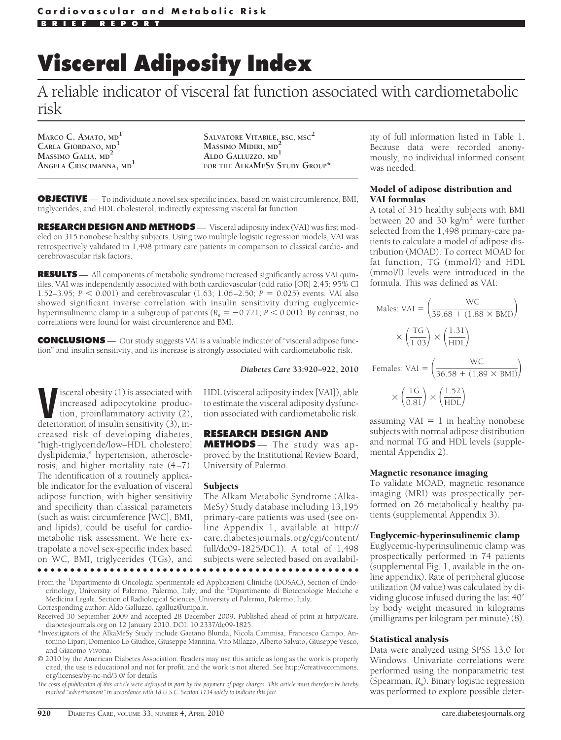# **Visceral Adiposity Index**

A reliable indicator of visceral fat function associated with cardiometabolic risk

**MARCO C. AMATO, MD<sup>1</sup> CARLA GIORDANO, MD<sup>1</sup> MASSIMO GALIA, MD<sup>2</sup> ANGELA CRISCIMANNA, MD<sup>1</sup>**

**SALVATORE VITABILE, BSC, MSC<sup>2</sup> MASSIMO MIDIRI, MD<sup>2</sup> ALDO GALLUZZO, MD<sup>1</sup> FOR THE ALKAMESY STUDY GROUP\***

**OBJECTIVE** — To individuate a novel sex-specific index, based on waist circumference, BMI, triglycerides, and HDL cholesterol, indirectly expressing visceral fat function.

**RESEARCH DESIGN AND METHODS** — Visceral adiposity index (VAI) was first modeled on 315 nonobese healthy subjects. Using two multiple logistic regression models, VAI was retrospectively validated in 1,498 primary care patients in comparison to classical cardio- and cerebrovascular risk factors.

RESULTS - All components of metabolic syndrome increased significantly across VAI quintiles. VAI was independently associated with both cardiovascular (odd ratio [OR] 2.45; 95% CI 1.52–3.95;  $P < 0.001$ ) and cerebrovascular (1.63; 1.06–2.50;  $P = 0.025$ ) events. VAI also showed significant inverse correlation with insulin sensitivity during euglycemichyperinsulinemic clamp in a subgroup of patients ( $R_s = -0.721$ ;  $P < 0.001$ ). By contrast, no correlations were found for waist circumference and BMI.

**CONCLUSIONS** — Our study suggests VAI is a valuable indicator of "visceral adipose function" and insulin sensitivity, and its increase is strongly associated with cardiometabolic risk.

*Diabetes Care* **33:920–922, 2010**

**V**isceral obesity (1) is associated with<br>increased adipocytokine produc-<br>tion, proinflammatory activity (2),<br>deterioration of insulin sensitivity (3) inincreased adipocytokine production, proinflammatory activity (2), deterioration of insulin sensitivity (3), increased risk of developing diabetes, "high-triglyceride/low–HDL cholesterol dyslipidemia," hypertension, atherosclerosis, and higher mortality rate (4–7). The identification of a routinely applicable indicator for the evaluation of visceral adipose function, with higher sensitivity and specificity than classical parameters (such as waist circumference [WC], BMI, and lipids), could be useful for cardiometabolic risk assessment. We here extrapolate a novel sex-specific index based on WC, BMI, triglycerides (TGs), and

HDL (visceral adiposity index [VAI]), able to estimate the visceral adiposity dysfunction associated with cardiometabolic risk.

## **RESEARCH DESIGN AND**

**METHODS** — The study was approved by the Institutional Review Board, University of Palermo.

#### **Subjects**

The Alkam Metabolic Syndrome (Alka-MeSy) Study database including 13,195 primary-care patients was used (see online Appendix 1, available at http:// care.diabetesjournals.org/cgi/content/ full/dc09-1825/DC1). A total of 1,498 subjects were selected based on availabil-

●●●●●●●●●●●●●●●●●●●●●●●●●●●●●●●●●●●●●●●●●●●●●●●●●

From the <sup>1</sup>Dipartimento di Oncologia Sperimentale ed Applicazioni Cliniche (DOSAC), Section of Endocrinology, University of Palermo, Palermo, Italy; and the <sup>2</sup>Dipartimento di Biotecnologie Mediche e Medicina Legale, Section of Radiological Sciences, University of Palermo, Palermo, Italy. Corresponding author: Aldo Galluzzo, agalluz@unipa.it.

Received 30 September 2009 and accepted 28 December 2009. Published ahead of print at http://care. diabetesjournals.org on 12 January 2010. DOI: 10.2337/dc09-1825.

\*Investigators of the AlkaMeSy Study include Gaetano Blunda, Nicola Cammisa, Francesco Campo, Antonino Lipari, Domenico Lo Giudice, Giuseppe Mannina, Vito Milazzo, Alberto Salvato, Giuseppe Vesco, and Giacomo Vivona.

© 2010 by the American Diabetes Association. Readers may use this article as long as the work is properly cited, the use is educational and not for profit, and the work is not altered. See http://creativecommons. org/licenses/by-nc-nd/3.0/ for details.

*The costs of publication of this article were defrayed in part by the payment of page charges. This article must therefore be hereby marked "advertisement" in accordance with 18 U.S.C. Section 1734 solely to indicate this fact.*

ity of full information listed in Table 1. Because data were recorded anonymously, no individual informed consent was needed.

#### Model of adipose distribution and VAI formulas

A total of 315 healthy subjects with BMI between 20 and 30 kg/m<sup>2</sup> were further selected from the 1,498 primary-care patients to calculate a model of adipose distribution (MOAD). To correct MOAD for fat function, TG (mmol/l) and HDL (mmol/l) levels were introduced in the formula. This was defined as VAI:

Males: VAI = 
$$
\left(\frac{\text{WC}}{39.68 + (1.88 \times \text{BMI})}\right)
$$
  
  $\times \left(\frac{\text{TG}}{1.03}\right) \times \left(\frac{1.31}{\text{HDL}}\right)$   
Females: VAI =  $\left(\frac{\text{WC}}{36.58 + (1.89 \times \text{BMI})}\right)$   
  $\times \left(\frac{\text{TG}}{\text{MG}}\right) \times \left(\frac{1.52}{\text{HDL}}\right)$ 

 $\times \left(\frac{TG}{0.81}\right) \times \left(\frac{1.52}{HDL}\right)$ 

assuming  $VAL = 1$  in healthy nonobese subjects with normal adipose distribution and normal TG and HDL levels (supplemental Appendix 2).

#### Magnetic resonance imaging

To validate MOAD, magnetic resonance imaging (MRI) was prospectically performed on 26 metabolically healthy patients (supplemental Appendix 3).

## Euglycemic-hyperinsulinemic clamp

Euglycemic-hyperinsulinemic clamp was prospectically performed in 74 patients (supplemental Fig. 1, available in the online appendix). Rate of peripheral glucose utilization (*M* value) was calculated by dividing glucose infused during the last 40 by body weight measured in kilograms (milligrams per kilogram per minute) (8).

## Statistical analysis

Data were analyzed using SPSS 13.0 for Windows. Univariate correlations were performed using the nonparametric test (Spearman, *R*s). Binary logistic regression was performed to explore possible deter-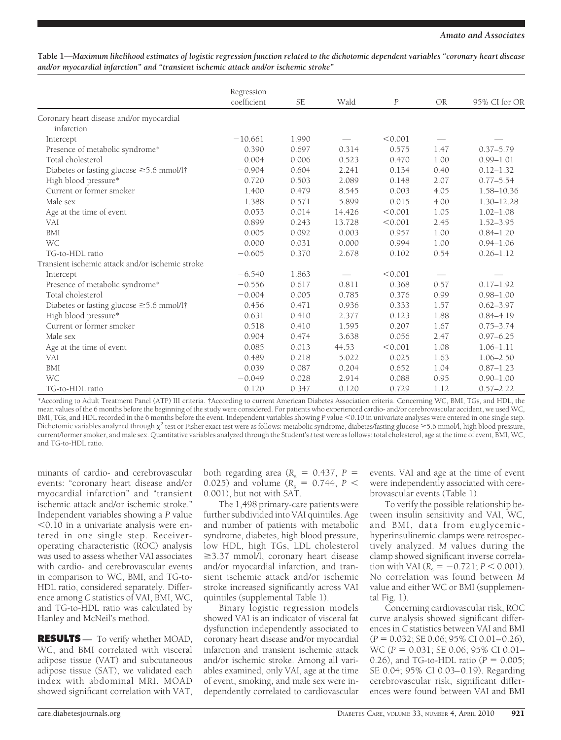| Table 1—Maximum likelihood estimates of logistic regression function related to the dichotomic dependent variables "coronary heart disease |  |
|--------------------------------------------------------------------------------------------------------------------------------------------|--|
| and/or myocardial infarction" and "transient ischemic attack and/or ischemic stroke"                                                       |  |

|                                                  | Regression<br>coefficient | <b>SE</b> | Wald   | $\boldsymbol{P}$ | <b>OR</b>                       | 95% CI for OR  |
|--------------------------------------------------|---------------------------|-----------|--------|------------------|---------------------------------|----------------|
|                                                  |                           |           |        |                  |                                 |                |
| Coronary heart disease and/or myocardial         |                           |           |        |                  |                                 |                |
| infarction                                       |                           |           |        |                  |                                 |                |
| Intercept                                        | $-10.661$                 | 1.990     |        | < 0.001          |                                 |                |
| Presence of metabolic syndrome*                  | 0.390                     | 0.697     | 0.314  | 0.575            | 1.47                            | $0.37 - 5.79$  |
| Total cholesterol                                | 0.004                     | 0.006     | 0.523  | 0.470            | 1.00                            | $0.99 - 1.01$  |
| Diabetes or fasting glucose ≥5.6 mmol/l†         | $-0.904$                  | 0.604     | 2.241  | 0.134            | 0.40                            | $0.12 - 1.32$  |
| High blood pressure*                             | 0.720                     | 0.503     | 2.089  | 0.148            | 2.07                            | $0.77 - 5.54$  |
| Current or former smoker                         | 1.400                     | 0.479     | 8.545  | 0.003            | 4.05                            | 1.58-10.36     |
| Male sex                                         | 1.388                     | 0.571     | 5.899  | 0.015            | 4.00                            | $1.30 - 12.28$ |
| Age at the time of event                         | 0.053                     | 0.014     | 14.426 | < 0.001          | 1.05                            | $1.02 - 1.08$  |
| <b>VAI</b>                                       | 0.899                     | 0.243     | 13.728 | < 0.001          | 2.45                            | $1.52 - 3.95$  |
| <b>BMI</b>                                       | 0.005                     | 0.092     | 0.003  | 0.957            | 1.00                            | $0.84 - 1.20$  |
| <b>WC</b>                                        | 0.000                     | 0.031     | 0.000  | 0.994            | 1.00                            | $0.94 - 1.06$  |
| TG-to-HDL ratio                                  | $-0.605$                  | 0.370     | 2.678  | 0.102            | 0.54                            | $0.26 - 1.12$  |
| Transient ischemic attack and/or ischemic stroke |                           |           |        |                  |                                 |                |
| Intercept                                        | $-6.540$                  | 1.863     |        | < 0.001          | $\hspace{0.1mm}-\hspace{0.1mm}$ |                |
| Presence of metabolic syndrome*                  | $-0.556$                  | 0.617     | 0.811  | 0.368            | 0.57                            | $0.17 - 1.92$  |
| Total cholesterol                                | $-0.004$                  | 0.005     | 0.785  | 0.376            | 0.99                            | $0.98 - 1.00$  |
| Diabetes or fasting glucose ≥5.6 mmol/l†         | 0.456                     | 0.471     | 0.936  | 0.333            | 1.57                            | $0.62 - 3.97$  |
| High blood pressure*                             | 0.631                     | 0.410     | 2.377  | 0.123            | 1.88                            | $0.84 - 4.19$  |
| Current or former smoker                         | 0.518                     | 0.410     | 1.595  | 0.207            | 1.67                            | $0.75 - 3.74$  |
| Male sex                                         | 0.904                     | 0.474     | 3.638  | 0.056            | 2.47                            | $0.97 - 6.25$  |
| Age at the time of event                         | 0.085                     | 0.013     | 44.53  | < 0.001          | 1.08                            | $1.06 - 1.11$  |
| <b>VAI</b>                                       | 0.489                     | 0.218     | 5.022  | 0.025            | 1.63                            | $1.06 - 2.50$  |
| <b>BMI</b>                                       | 0.039                     | 0.087     | 0.204  | 0.652            | 1.04                            | $0.87 - 1.23$  |
| <b>WC</b>                                        | $-0.049$                  | 0.028     | 2.914  | 0.088            | 0.95                            | $0.90 - 1.00$  |
| TG-to-HDL ratio                                  | 0.120                     | 0.347     | 0.120  | 0.729            | 1.12                            | $0.57 - 2.22$  |

\*According to Adult Treatment Panel (ATP) III criteria. †According to current American Diabetes Association criteria. Concerning WC, BMI, TGs, and HDL, the mean values of the 6 months before the beginning of the study were considered. For patients who experienced cardio- and/or cerebrovascular accident, we used WC, BMI, TGs, and HDL recorded in the 6 months before the event. Independent variables showing *P* value <0.10 in univariate analyses were entered in one single step. Dichotomic variables analyzed through  $\chi^2$  test or Fisher exact test were as follows: metabolic syndrome, diabetes/fasting glucose  $\geq 5.6$  mmol/l, high blood pressure, current/former smoker, and male sex. Quantitative variables analyzed through the Student's*t* test were as follows: total cholesterol, age at the time of event, BMI, WC, and TG-to-HDL ratio.

minants of cardio- and cerebrovascular events: "coronary heart disease and/or myocardial infarction" and "transient ischemic attack and/or ischemic stroke." Independent variables showing a *P* value  $0.10$  in a univariate analysis were entered in one single step. Receiveroperating characteristic (ROC) analysis was used to assess whether VAI associates with cardio- and cerebrovascular events in comparison to WC, BMI, and TG-to-HDL ratio, considered separately. Difference among *C* statistics of VAI, BMI, WC, and TG-to-HDL ratio was calculated by Hanley and McNeil's method.

**RESULTS** — To verify whether MOAD, WC, and BMI correlated with visceral adipose tissue (VAT) and subcutaneous adipose tissue (SAT), we validated each index with abdominal MRI. MOAD showed significant correlation with VAT,

both regarding area ( $R_s = 0.437$ ,  $P =$ 0.025) and volume ( $R_s = 0.744$ ,  $P <$ 0.001), but not with SAT.

The 1,498 primary-care patients were further subdivided into VAI quintiles. Age and number of patients with metabolic syndrome, diabetes, high blood pressure, low HDL, high TGs, LDL cholesterol  $\geq$ 3.37 mmol $\overline{A}$ , coronary heart disease and/or myocardial infarction, and transient ischemic attack and/or ischemic stroke increased significantly across VAI quintiles (supplemental Table 1).

Binary logistic regression models showed VAI is an indicator of visceral fat dysfunction independently associated to coronary heart disease and/or myocardial infarction and transient ischemic attack and/or ischemic stroke. Among all variables examined, only VAI, age at the time of event, smoking, and male sex were independently correlated to cardiovascular

events. VAI and age at the time of event were independently associated with cerebrovascular events (Table 1).

To verify the possible relationship between insulin sensitivity and VAI, WC, and BMI, data from euglycemichyperinsulinemic clamps were retrospectively analyzed. *M* values during the clamp showed significant inverse correlation with VAI ( $R_s = -0.721; P < 0.001$ ). No correlation was found between *M* value and either WC or BMI (supplemental Fig. 1).

Concerning cardiovascular risk, ROC curve analysis showed significant differences in *C* statistics between VAI and BMI (*P* - 0.032; SE 0.06; 95% CI 0.01–0.26), WC (*P* - 0.031; SE 0.06; 95% CI 0.01– 0.26), and TG-to-HDL ratio ( $P = 0.005$ ; SE 0.04; 95% CI 0.03–0.19). Regarding cerebrovascular risk, significant differences were found between VAI and BMI